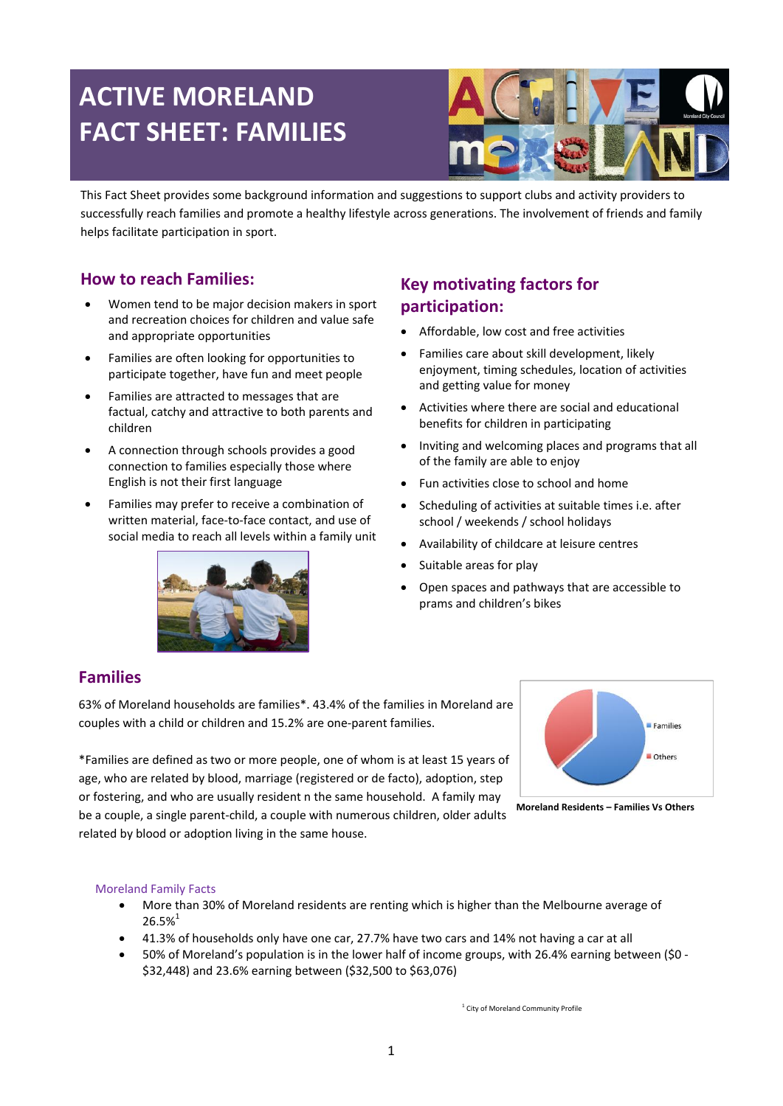# **ACTIVE MORELAND FACT SHEET: FAMILIES**



This Fact Sheet provides some background information and suggestions to support clubs and activity providers to successfully reach families and promote a healthy lifestyle across generations. The involvement of friends and family helps facilitate participation in sport.

## **How to reach Families:**

- Women tend to be major decision makers in sport and recreation choices for children and value safe and appropriate opportunities
- Families are often looking for opportunities to participate together, have fun and meet people
- Families are attracted to messages that are factual, catchy and attractive to both parents and children
- A connection through schools provides a good connection to families especially those where English is not their first language
- Families may prefer to receive a combination of written material, face-to-face contact, and use of social media to reach all levels within a family unit



## **Key motivating factors for participation:**

- Affordable, low cost and free activities
- Families care about skill development, likely enjoyment, timing schedules, location of activities and getting value for money
- Activities where there are social and educational benefits for children in participating
- Inviting and welcoming places and programs that all of the family are able to enjoy
- Fun activities close to school and home
- Scheduling of activities at suitable times i.e. after school / weekends / school holidays
- Availability of childcare at leisure centres
- Suitable areas for play
- Open spaces and pathways that are accessible to prams and children's bikes

## **Families**

63% of Moreland households are families\*. 43.4% of the families in Moreland are couples with a child or children and 15.2% are one-parent families.

\*Families are defined as two or more people, one of whom is at least 15 years of age, who are related by blood, marriage (registered or de facto), adoption, step or fostering, and who are usually resident n the same household. A family may be a couple, a single parent-child, a couple with numerous children, older adults related by blood or adoption living in the same house.



**Moreland Residents – Families Vs Others**

#### Moreland Family Facts

- More than 30% of Moreland residents are renting which is higher than the Melbourne average of  $26.5%$ <sup>1</sup>
- 41.3% of households only have one car, 27.7% have two cars and 14% not having a car at all
- 50% of Moreland's population is in the lower half of income groups, with 26.4% earning between (\$0 \$32,448) and 23.6% earning between (\$32,500 to \$63,076)

<sup>1</sup> City of Moreland Community Profile